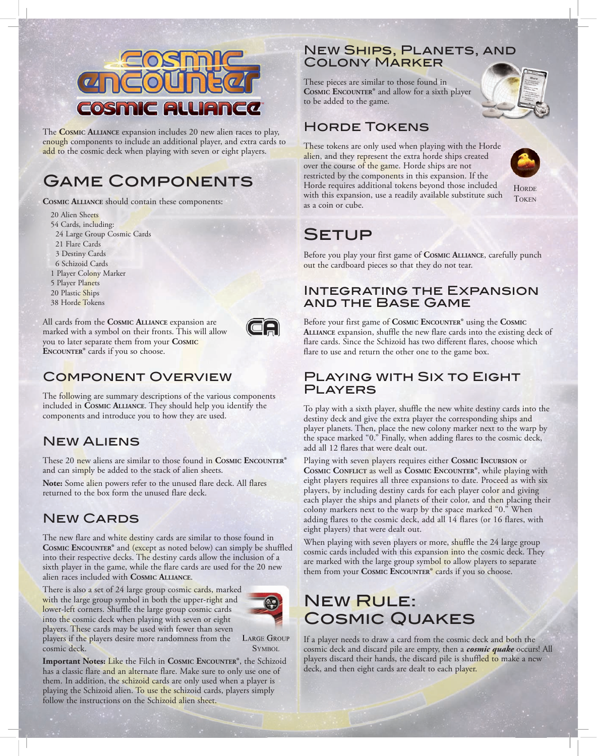

The **CosmiC AlliAnCe** expansion includes 20 new alien races to play, enough components to include an additional player, and extra cards to add to the cosmic deck when playing with seven or eight players.

## Game Components

**CosmiC AlliAnCe** should contain these components:

- 20 Alien Sheets
- 54 Cards, including:
- 24 Large Group Cosmic Cards
- 21 Flare Cards
- 3 Destiny Cards
- 6 Schizoid Cards
- 1 Player Colony Marker 5 Player Planets
- 20 Plastic Ships
- 38 Horde Tokens

All cards from the **CosmiC AlliAnCe** expansion are marked with a symbol on their fronts. This will allow you to later separate them from your **CosmiC ENCOUNTER®** cards if you so choose.



### Component Overview

The following are summary descriptions of the various components included in **CosmiC AlliAnCe**. They should help you identify the components and introduce you to how they are used.

## New Aliens

These 20 new aliens are similar to those found in **COSMIC ENCOUNTER<sup>®</sup>** and can simply be added to the stack of alien sheets.

**Note:** Some alien powers refer to the unused flare deck. All flares returned to the box form the unused flare deck.

### New Cards

The new flare and white destiny cards are similar to those found in **COSMIC ENCOUNTER®** and (except as noted below) can simply be shuffled into their respective decks. The destiny cards allow the inclusion of a sixth player in the game, while the flare cards are used for the 20 new alien races included with **CosmiC AlliAnCe**.

There is also a set of 24 large group cosmic cards, marked with the large group symbol in both the upper-right and lower-left corners. Shuffle the large group cosmic cards into the cosmic deck when playing with seven or eight players. These cards may be used with fewer than seven players if the players desire more randomness from the

follow the instructions on the Schizoid alien sheet.



**SYMBOL** cosmic deck. **Important Notes: Like the Filch in COSMIC ENCOUNTER®**, the Schizoid has a classic flare and an alternate flare. Make sure to only use one of them. In addition, the schizoid cards are only used when a player is playing the Schizoid alien. To use the schizoid cards, players simply

**NEW SHIPS, PLANETS, AND** Colony Marker

These pieces are similar to those found in **COSMIC ENCOUNTER®** and allow for a sixth player to be added to the game.

## Horde Tokens

These tokens are only used when playing with the Horde alien, and they represent the extra horde ships created over the course of the game. Horde ships are not restricted by the components in this expansion. If the Horde requires additional tokens beyond those included with this expansion, use a readily available substitute such as a coin or cube.



**HORDE TOKEN** 

# **SETUP**

Before you play your first game of **COSMIC ALLIANCE**, carefully punch out the cardboard pieces so that they do not tear.

#### Integrating the Expansion and the Base Game

Before your first game of **COSMIC ENCOUNTER<sup>®</sup>** using the **COSMIC AlliAnCe** expansion, shuffle the new flare cards into the existing deck of flare cards. Since the Schizoid has two different flares, choose which flare to use and return the other one to the game box.

#### Playing with Six to Eight **PLAYERS**

To play with a sixth player, shuffle the new white destiny cards into the destiny deck and give the extra player the corresponding ships and player planets. Then, place the new colony marker next to the warp by the space marked "0." Finally, when adding flares to the cosmic deck, add all 12 flares that were dealt out.

Playing with seven players requires either COSMIC **INCURSION** or **COSMIC CONFLICT as well as COSMIC ENCOUNTER<sup>®</sup>, while playing with** eight players requires all three expansions to date. Proceed as with six players, by including destiny cards for each player color and giving each player the ships and planets of their color, and then placing their colony markers next to the warp by the space marked "0." When adding flares to the cosmic deck, add all 14 flares (or 16 flares, with eight players) that were dealt out.

When playing with seven players or more, shuffle the 24 large group cosmic cards included with this expansion into the cosmic deck. They are marked with the large group symbol to allow players to separate them from your **COSMIC ENCOUNTER<sup>®</sup>** cards if you so choose.

## New Rule: Cosmic Quakes

If a player needs to draw a card from the cosmic deck and both the cosmic deck and discard pile are empty, then a *cosmic quake* occurs! All players discard their hands, the discard pile is shuffled to make a new deck, and then eight cards are dealt to each player.